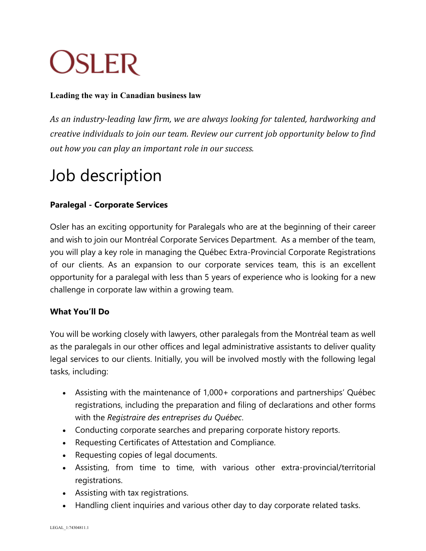# **OSLER**

## **Leading the way in Canadian business law**

As an industry-leading law firm, we are always looking for talented, hardworking and *creative individuals to join our team. Review our current job opportunity below to find out how you can play an important role in our success.* 

# Job description

# **Paralegal - Corporate Services**

Osler has an exciting opportunity for Paralegals who are at the beginning of their career and wish to join our Montréal Corporate Services Department. As a member of the team, you will play a key role in managing the Québec Extra-Provincial Corporate Registrations of our clients. As an expansion to our corporate services team, this is an excellent opportunity for a paralegal with less than 5 years of experience who is looking for a new challenge in corporate law within a growing team.

## **What You'll Do**

You will be working closely with lawyers, other paralegals from the Montréal team as well as the paralegals in our other offices and legal administrative assistants to deliver quality legal services to our clients. Initially, you will be involved mostly with the following legal tasks, including:

- Assisting with the maintenance of 1,000+ corporations and partnerships' Québec registrations, including the preparation and filing of declarations and other forms with the *Registraire des entreprises du Québec*.
- Conducting corporate searches and preparing corporate history reports.
- Requesting Certificates of Attestation and Compliance.
- Requesting copies of legal documents.
- Assisting, from time to time, with various other extra-provincial/territorial registrations.
- Assisting with tax registrations.
- Handling client inquiries and various other day to day corporate related tasks.